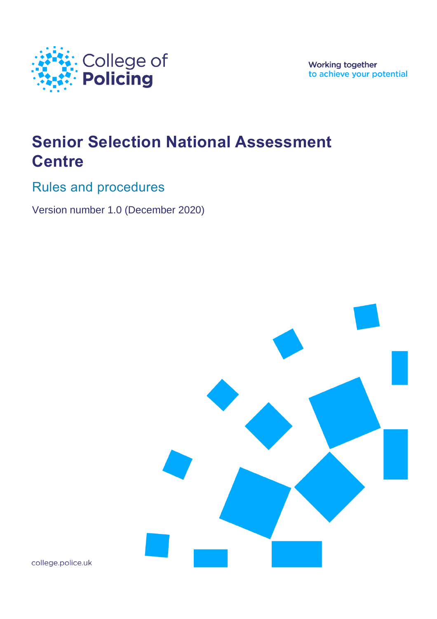

**Working together** to achieve your potential

# **Senior Selection National Assessment Centre**

Rules and procedures

Version number 1.0 (December 2020)



college.police.uk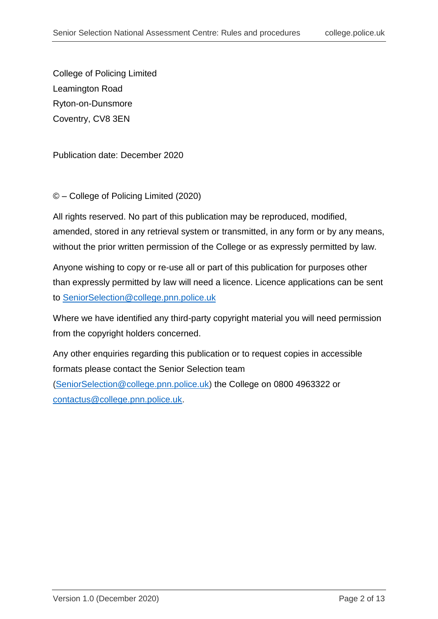College of Policing Limited Leamington Road Ryton-on-Dunsmore Coventry, CV8 3EN

Publication date: December 2020

© – College of Policing Limited (2020)

All rights reserved. No part of this publication may be reproduced, modified, amended, stored in any retrieval system or transmitted, in any form or by any means, without the prior written permission of the College or as expressly permitted by law.

Anyone wishing to copy or re-use all or part of this publication for purposes other than expressly permitted by law will need a licence. Licence applications can be sent to [SeniorSelection@college.pnn.police.uk](mailto:SeniorSelection@college.pnn.police.uk)

Where we have identified any third-party copyright material you will need permission from the copyright holders concerned.

Any other enquiries regarding this publication or to request copies in accessible formats please contact the Senior Selection team [\(SeniorSelection@college.pnn.police.uk\)](mailto:SeniorSelection@college.pnn.police.uk) the College on 0800 4963322 or [contactus@college.pnn.police.uk.](mailto:contactus@college.pnn.police.uk)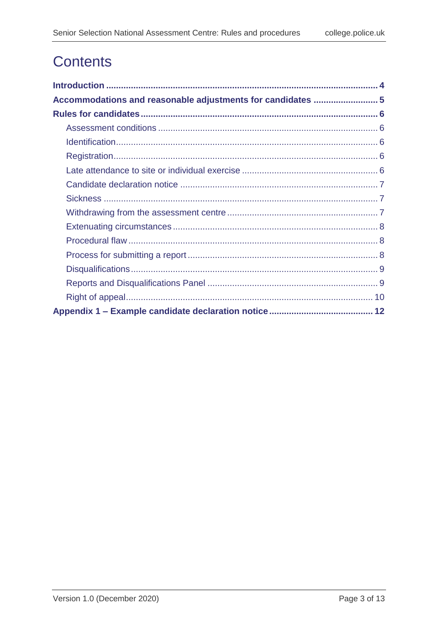# **Contents**

| Accommodations and reasonable adjustments for candidates  5 |
|-------------------------------------------------------------|
|                                                             |
|                                                             |
|                                                             |
|                                                             |
|                                                             |
|                                                             |
|                                                             |
|                                                             |
|                                                             |
|                                                             |
|                                                             |
|                                                             |
|                                                             |
|                                                             |
|                                                             |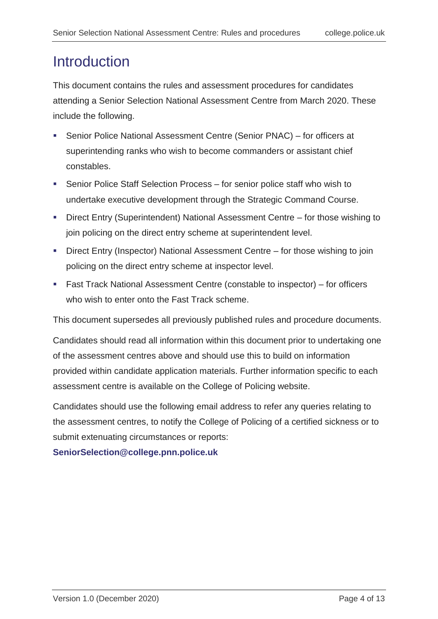## <span id="page-3-0"></span>**Introduction**

This document contains the rules and assessment procedures for candidates attending a Senior Selection National Assessment Centre from March 2020. These include the following.

- Senior Police National Assessment Centre (Senior PNAC) for officers at superintending ranks who wish to become commanders or assistant chief constables.
- Senior Police Staff Selection Process for senior police staff who wish to undertake executive development through the Strategic Command Course.
- Direct Entry (Superintendent) National Assessment Centre for those wishing to join policing on the direct entry scheme at superintendent level.
- Direct Entry (Inspector) National Assessment Centre for those wishing to join policing on the direct entry scheme at inspector level.
- Fast Track National Assessment Centre (constable to inspector) for officers who wish to enter onto the Fast Track scheme.

This document supersedes all previously published rules and procedure documents.

Candidates should read all information within this document prior to undertaking one of the assessment centres above and should use this to build on information provided within candidate application materials. Further information specific to each assessment centre is available on the College of Policing website.

Candidates should use the following email address to refer any queries relating to the assessment centres, to notify the College of Policing of a certified sickness or to submit extenuating circumstances or reports:

#### **[SeniorSelection@college.pnn.police.uk](mailto:SeniorSelection@college.pnn.police.uk)**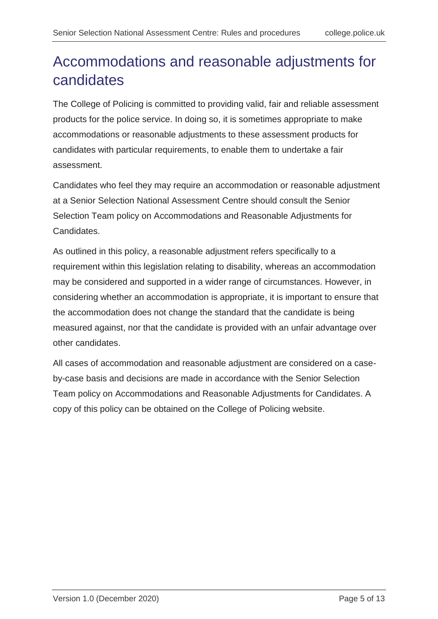# <span id="page-4-0"></span>Accommodations and reasonable adjustments for candidates

The College of Policing is committed to providing valid, fair and reliable assessment products for the police service. In doing so, it is sometimes appropriate to make accommodations or reasonable adjustments to these assessment products for candidates with particular requirements, to enable them to undertake a fair assessment.

Candidates who feel they may require an accommodation or reasonable adjustment at a Senior Selection National Assessment Centre should consult the Senior Selection Team policy on Accommodations and Reasonable Adjustments for Candidates.

As outlined in this policy, a reasonable adjustment refers specifically to a requirement within this legislation relating to disability, whereas an accommodation may be considered and supported in a wider range of circumstances. However, in considering whether an accommodation is appropriate, it is important to ensure that the accommodation does not change the standard that the candidate is being measured against, nor that the candidate is provided with an unfair advantage over other candidates.

All cases of accommodation and reasonable adjustment are considered on a caseby-case basis and decisions are made in accordance with the Senior Selection Team policy on Accommodations and Reasonable Adjustments for Candidates. A copy of this policy can be obtained on the College of Policing website.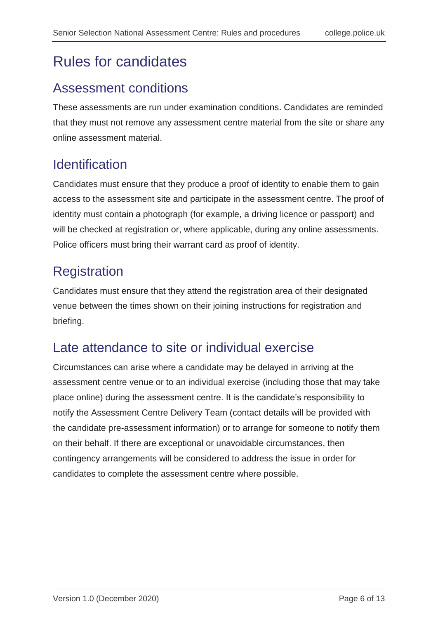## <span id="page-5-0"></span>Rules for candidates

#### <span id="page-5-1"></span>Assessment conditions

These assessments are run under examination conditions. Candidates are reminded that they must not remove any assessment centre material from the site or share any online assessment material.

#### <span id="page-5-2"></span>**Identification**

Candidates must ensure that they produce a proof of identity to enable them to gain access to the assessment site and participate in the assessment centre. The proof of identity must contain a photograph (for example, a driving licence or passport) and will be checked at registration or, where applicable, during any online assessments. Police officers must bring their warrant card as proof of identity.

## <span id="page-5-3"></span>**Registration**

Candidates must ensure that they attend the registration area of their designated venue between the times shown on their joining instructions for registration and briefing.

#### <span id="page-5-4"></span>Late attendance to site or individual exercise

Circumstances can arise where a candidate may be delayed in arriving at the assessment centre venue or to an individual exercise (including those that may take place online) during the assessment centre. It is the candidate's responsibility to notify the Assessment Centre Delivery Team (contact details will be provided with the candidate pre-assessment information) or to arrange for someone to notify them on their behalf. If there are exceptional or unavoidable circumstances, then contingency arrangements will be considered to address the issue in order for candidates to complete the assessment centre where possible.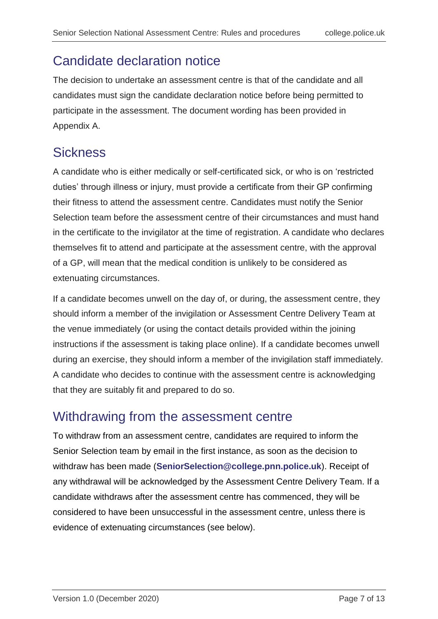### <span id="page-6-0"></span>Candidate declaration notice

The decision to undertake an assessment centre is that of the candidate and all candidates must sign the candidate declaration notice before being permitted to participate in the assessment. The document wording has been provided in Appendix A.

## <span id="page-6-1"></span>**Sickness**

A candidate who is either medically or self-certificated sick, or who is on 'restricted duties' through illness or injury, must provide a certificate from their GP confirming their fitness to attend the assessment centre. Candidates must notify the Senior Selection team before the assessment centre of their circumstances and must hand in the certificate to the invigilator at the time of registration. A candidate who declares themselves fit to attend and participate at the assessment centre, with the approval of a GP, will mean that the medical condition is unlikely to be considered as extenuating circumstances.

If a candidate becomes unwell on the day of, or during, the assessment centre, they should inform a member of the invigilation or Assessment Centre Delivery Team at the venue immediately (or using the contact details provided within the joining instructions if the assessment is taking place online). If a candidate becomes unwell during an exercise, they should inform a member of the invigilation staff immediately. A candidate who decides to continue with the assessment centre is acknowledging that they are suitably fit and prepared to do so.

#### <span id="page-6-2"></span>Withdrawing from the assessment centre

To withdraw from an assessment centre, candidates are required to inform the Senior Selection team by email in the first instance, as soon as the decision to withdraw has been made (**[SeniorSelection@college.pnn.police.uk](mailto:SeniorSelection@college.pnn.police.uk)**). Receipt of any withdrawal will be acknowledged by the Assessment Centre Delivery Team. If a candidate withdraws after the assessment centre has commenced, they will be considered to have been unsuccessful in the assessment centre, unless there is evidence of extenuating circumstances (see below).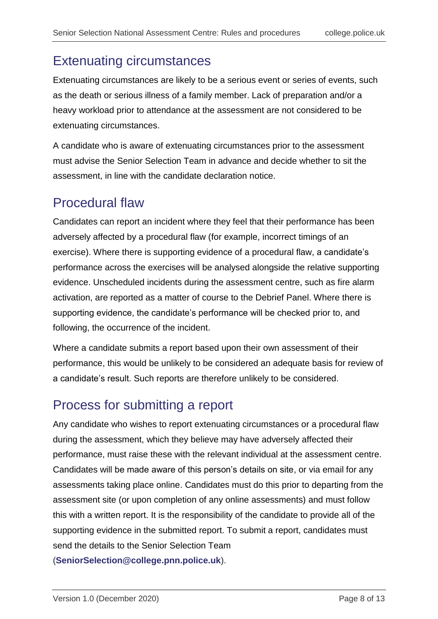#### <span id="page-7-0"></span>Extenuating circumstances

Extenuating circumstances are likely to be a serious event or series of events, such as the death or serious illness of a family member. Lack of preparation and/or a heavy workload prior to attendance at the assessment are not considered to be extenuating circumstances.

A candidate who is aware of extenuating circumstances prior to the assessment must advise the Senior Selection Team in advance and decide whether to sit the assessment, in line with the candidate declaration notice.

### <span id="page-7-1"></span>Procedural flaw

Candidates can report an incident where they feel that their performance has been adversely affected by a procedural flaw (for example, incorrect timings of an exercise). Where there is supporting evidence of a procedural flaw, a candidate's performance across the exercises will be analysed alongside the relative supporting evidence. Unscheduled incidents during the assessment centre, such as fire alarm activation, are reported as a matter of course to the Debrief Panel. Where there is supporting evidence, the candidate's performance will be checked prior to, and following, the occurrence of the incident.

Where a candidate submits a report based upon their own assessment of their performance, this would be unlikely to be considered an adequate basis for review of a candidate's result. Such reports are therefore unlikely to be considered.

### <span id="page-7-2"></span>Process for submitting a report

Any candidate who wishes to report extenuating circumstances or a procedural flaw during the assessment, which they believe may have adversely affected their performance, must raise these with the relevant individual at the assessment centre. Candidates will be made aware of this person's details on site, or via email for any assessments taking place online. Candidates must do this prior to departing from the assessment site (or upon completion of any online assessments) and must follow this with a written report. It is the responsibility of the candidate to provide all of the supporting evidence in the submitted report. To submit a report, candidates must send the details to the Senior Selection Team

(**[SeniorSelection@college.pnn.police.uk](mailto:SeniorSelection@college.pnn.police.uk)**).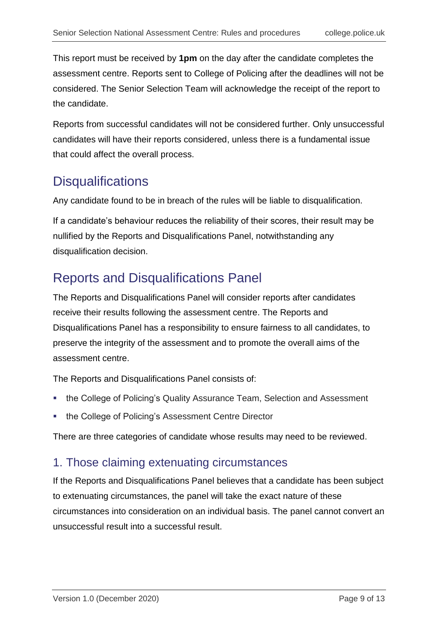This report must be received by **1pm** on the day after the candidate completes the assessment centre. Reports sent to College of Policing after the deadlines will not be considered. The Senior Selection Team will acknowledge the receipt of the report to the candidate.

Reports from successful candidates will not be considered further. Only unsuccessful candidates will have their reports considered, unless there is a fundamental issue that could affect the overall process.

### <span id="page-8-0"></span>**Disqualifications**

Any candidate found to be in breach of the rules will be liable to disqualification.

If a candidate's behaviour reduces the reliability of their scores, their result may be nullified by the Reports and Disqualifications Panel, notwithstanding any disqualification decision.

#### <span id="page-8-1"></span>Reports and Disqualifications Panel

The Reports and Disqualifications Panel will consider reports after candidates receive their results following the assessment centre. The Reports and Disqualifications Panel has a responsibility to ensure fairness to all candidates, to preserve the integrity of the assessment and to promote the overall aims of the assessment centre.

The Reports and Disqualifications Panel consists of:

- the College of Policing's Quality Assurance Team, Selection and Assessment
- **the College of Policing's Assessment Centre Director**

There are three categories of candidate whose results may need to be reviewed.

#### 1. Those claiming extenuating circumstances

If the Reports and Disqualifications Panel believes that a candidate has been subject to extenuating circumstances, the panel will take the exact nature of these circumstances into consideration on an individual basis. The panel cannot convert an unsuccessful result into a successful result.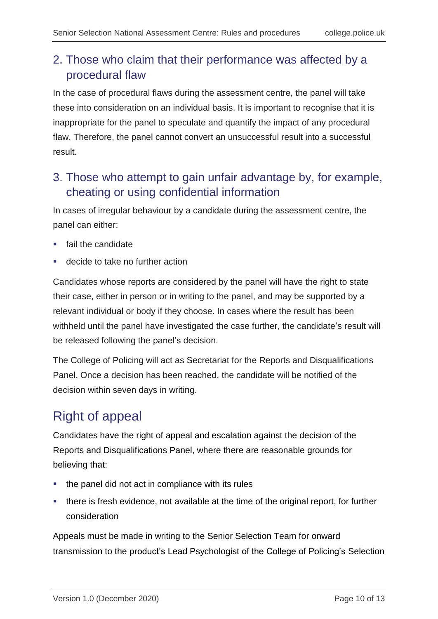#### 2. Those who claim that their performance was affected by a procedural flaw

In the case of procedural flaws during the assessment centre, the panel will take these into consideration on an individual basis. It is important to recognise that it is inappropriate for the panel to speculate and quantify the impact of any procedural flaw. Therefore, the panel cannot convert an unsuccessful result into a successful result.

#### 3. Those who attempt to gain unfair advantage by, for example, cheating or using confidential information

In cases of irregular behaviour by a candidate during the assessment centre, the panel can either:

- **fail the candidate**
- decide to take no further action

Candidates whose reports are considered by the panel will have the right to state their case, either in person or in writing to the panel, and may be supported by a relevant individual or body if they choose. In cases where the result has been withheld until the panel have investigated the case further, the candidate's result will be released following the panel's decision.

The College of Policing will act as Secretariat for the Reports and Disqualifications Panel. Once a decision has been reached, the candidate will be notified of the decision within seven days in writing.

### <span id="page-9-0"></span>Right of appeal

Candidates have the right of appeal and escalation against the decision of the Reports and Disqualifications Panel, where there are reasonable grounds for believing that:

- the panel did not act in compliance with its rules
- there is fresh evidence, not available at the time of the original report, for further consideration

Appeals must be made in writing to the Senior Selection Team for onward transmission to the product's Lead Psychologist of the College of Policing's Selection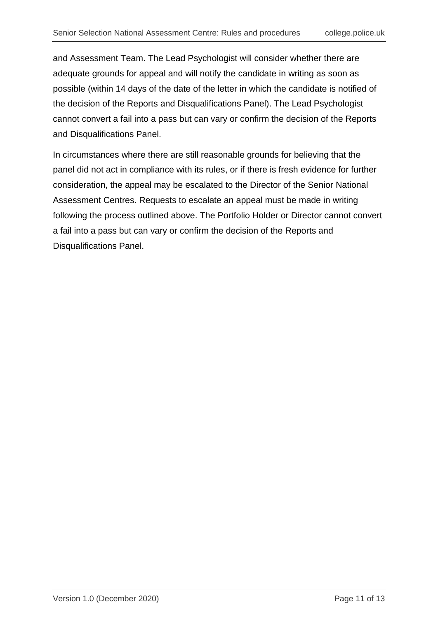and Assessment Team. The Lead Psychologist will consider whether there are adequate grounds for appeal and will notify the candidate in writing as soon as possible (within 14 days of the date of the letter in which the candidate is notified of the decision of the Reports and Disqualifications Panel). The Lead Psychologist cannot convert a fail into a pass but can vary or confirm the decision of the Reports and Disqualifications Panel.

In circumstances where there are still reasonable grounds for believing that the panel did not act in compliance with its rules, or if there is fresh evidence for further consideration, the appeal may be escalated to the Director of the Senior National Assessment Centres. Requests to escalate an appeal must be made in writing following the process outlined above. The Portfolio Holder or Director cannot convert a fail into a pass but can vary or confirm the decision of the Reports and Disqualifications Panel.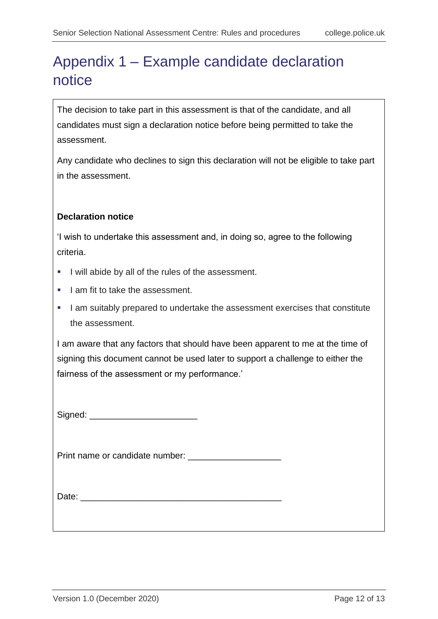# <span id="page-11-0"></span>Appendix 1 – Example candidate declaration notice

The decision to take part in this assessment is that of the candidate, and all candidates must sign a declaration notice before being permitted to take the assessment.

Any candidate who declines to sign this declaration will not be eligible to take part in the assessment.

#### **Declaration notice**

'I wish to undertake this assessment and, in doing so, agree to the following criteria.

- I will abide by all of the rules of the assessment.
- I am fit to take the assessment.
- I am suitably prepared to undertake the assessment exercises that constitute the assessment.

I am aware that any factors that should have been apparent to me at the time of signing this document cannot be used later to support a challenge to either the fairness of the assessment or my performance.'

Signed: \_\_\_\_\_\_\_\_\_\_\_\_\_\_\_\_\_\_\_\_\_\_

Print name or candidate number: \_\_\_\_\_\_\_\_\_\_\_\_\_\_\_\_\_\_\_

Date:  $\Box$